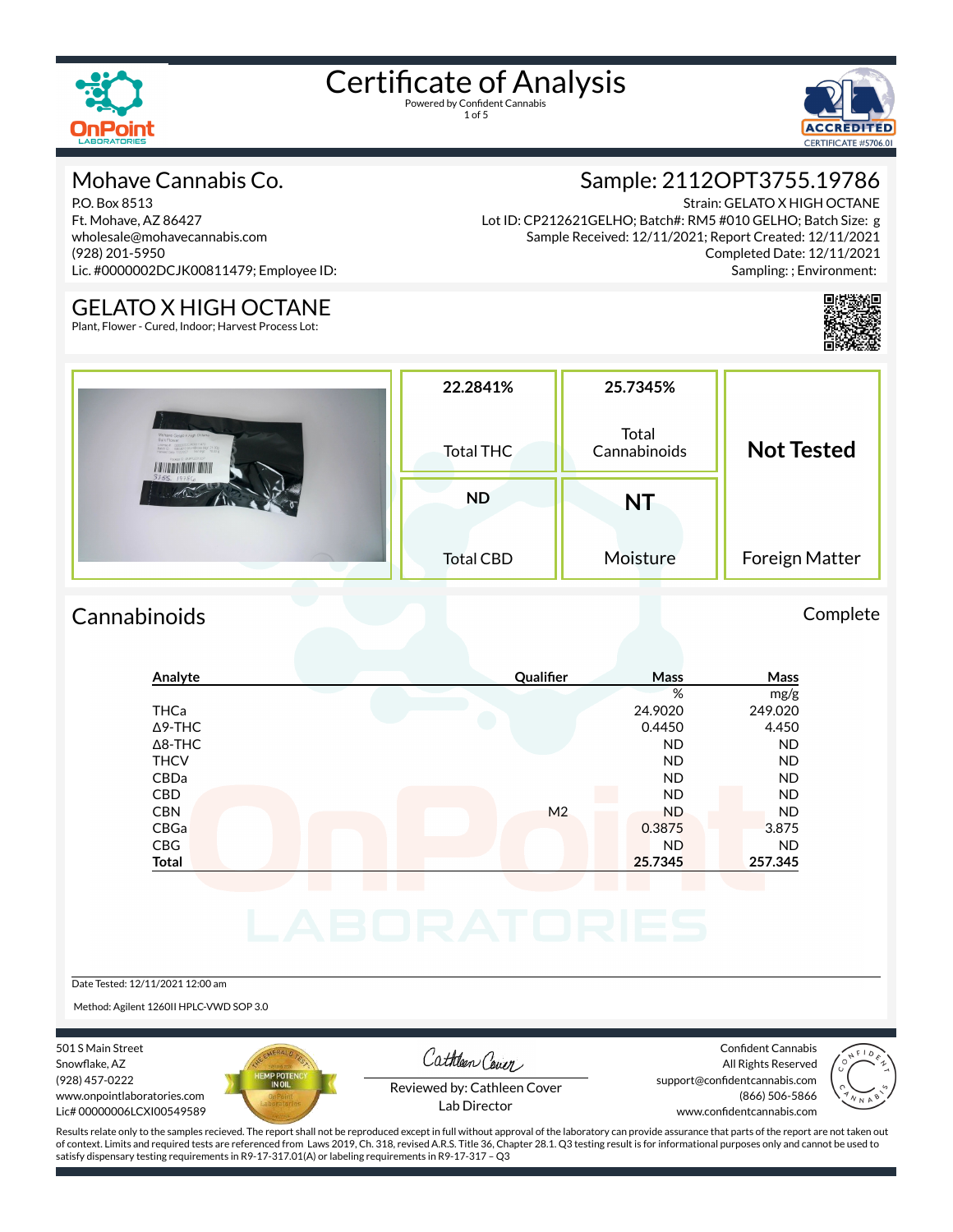



#### Mohave Cannabis Co.

P.O. Box 8513 Ft. Mohave, AZ 86427 wholesale@mohavecannabis.com (928) 201-5950 Lic. #0000002DCJK00811479; Employee ID:

#### Strain: GELATO X HIGH OCTANE Lot ID: CP212621GELHO; Batch#: RM5 #010 GELHO; Batch Size: g Sample Received: 12/11/2021; Report Created: 12/11/2021 Completed Date: 12/11/2021 Sampling: ; Environment:

Sample: 2112OPT3755.19786



#### GELATO X HIGH OCTANE

Plant, Flower - Cured, Indoor; Harvest Process Lot:

|                                                                                                                                                                                                       | 22.2841%         | 25.7345%              | <b>Not Tested</b> |  |
|-------------------------------------------------------------------------------------------------------------------------------------------------------------------------------------------------------|------------------|-----------------------|-------------------|--|
| Mohave Gelatz x High Octanie<br><b>Bulk Flower</b><br>License a coppost00.800015479<br>Batch 20 Rays and GEU4Shoas Vigit 21.00g<br>Harvest Date 11030021 Net Vigit 16.00 p<br>Package C. BAWPLET/10CP | Total THC        | Total<br>Cannabinoids |                   |  |
| 3755.19786                                                                                                                                                                                            | <b>ND</b>        | <b>NT</b>             |                   |  |
|                                                                                                                                                                                                       | <b>Total CBD</b> | Moisture              | Foreign Matter    |  |

#### Cannabinoids Complete

| Analyte        | Qualifier      | Mass      | Mass      |
|----------------|----------------|-----------|-----------|
|                |                | %         | mg/g      |
| <b>THCa</b>    |                | 24.9020   | 249.020   |
| $\Delta$ 9-THC |                | 0.4450    | 4.450     |
| $\Delta$ 8-THC |                | <b>ND</b> | <b>ND</b> |
| <b>THCV</b>    |                | <b>ND</b> | <b>ND</b> |
| CBDa           |                | <b>ND</b> | <b>ND</b> |
| <b>CBD</b>     |                | <b>ND</b> | <b>ND</b> |
| <b>CBN</b>     | M <sub>2</sub> | <b>ND</b> | <b>ND</b> |
| CBGa           |                | 0.3875    | 3.875     |
| <b>CBG</b>     |                | <b>ND</b> | <b>ND</b> |
| <b>Total</b>   |                | 25.7345   | 257.345   |
|                |                |           |           |
|                |                |           |           |
|                |                |           |           |
|                |                |           |           |
|                |                |           |           |
|                |                |           |           |

Date Tested: 12/11/2021 12:00 am

Method: Agilent 1260II HPLC-VWD SOP 3.0

501 S Main Street Snowflake, AZ (928) 457-0222 www.onpointlaboratories.com Lic# 00000006LCXI00549589



Cathleen Cover

Confident Cannabis All Rights Reserved support@confidentcannabis.com



Reviewed by: Cathleen Cover Lab Director

(866) 506-5866 www.confidentcannabis.com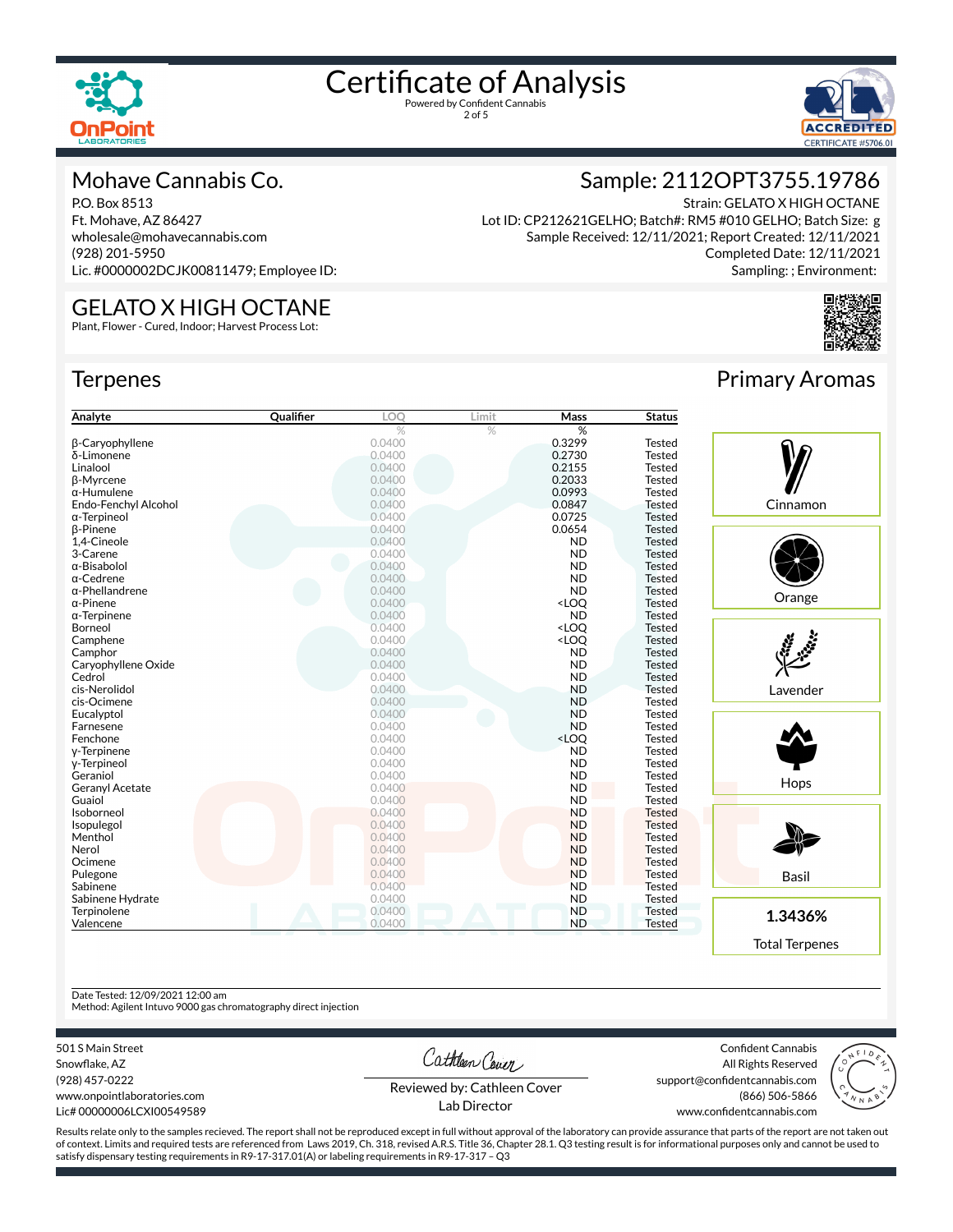

2 of 5



#### Mohave Cannabis Co.

P.O. Box 8513 Ft. Mohave, AZ 86427 wholesale@mohavecannabis.com (928) 201-5950 Lic. #0000002DCJK00811479; Employee ID:

GELATO X HIGH OCTANE Plant, Flower - Cured, Indoor; Harvest Process Lot:

### Sample: 2112OPT3755.19786

Strain: GELATO X HIGH OCTANE Lot ID: CP212621GELHO; Batch#: RM5 #010 GELHO; Batch Size: g Sample Received: 12/11/2021; Report Created: 12/11/2021 Completed Date: 12/11/2021 Sampling: ; Environment:

#### **Terpenes**

| Analyte                | Qualifier | LOQ    | Limit | Mass                                      | <b>Status</b> |
|------------------------|-----------|--------|-------|-------------------------------------------|---------------|
|                        |           | $\%$   | $\%$  | %                                         |               |
| <b>B-Caryophyllene</b> |           | 0.0400 |       | 0.3299                                    | <b>Tested</b> |
| δ-Limonene             |           | 0.0400 |       | 0.2730                                    | <b>Tested</b> |
| Linalool               |           | 0.0400 |       | 0.2155                                    | <b>Tested</b> |
| β-Myrcene              |           | 0.0400 |       | 0.2033                                    | <b>Tested</b> |
| $\alpha$ -Humulene     |           | 0.0400 |       | 0.0993                                    | <b>Tested</b> |
| Endo-Fenchyl Alcohol   |           | 0.0400 |       | 0.0847                                    | <b>Tested</b> |
| $\alpha$ -Terpineol    |           | 0.0400 |       | 0.0725                                    | <b>Tested</b> |
| <b>B-Pinene</b>        |           | 0.0400 |       | 0.0654                                    | <b>Tested</b> |
| 1.4-Cineole            |           | 0.0400 |       | <b>ND</b>                                 | <b>Tested</b> |
| 3-Carene               |           | 0.0400 |       | <b>ND</b>                                 | <b>Tested</b> |
| $\alpha$ -Bisabolol    |           | 0.0400 |       | <b>ND</b>                                 | <b>Tested</b> |
| $\alpha$ -Cedrene      |           | 0.0400 |       | <b>ND</b>                                 | <b>Tested</b> |
| $\alpha$ -Phellandrene |           | 0.0400 |       | <b>ND</b>                                 | <b>Tested</b> |
| $\alpha$ -Pinene       |           | 0.0400 |       | <loq< td=""><td><b>Tested</b></td></loq<> | <b>Tested</b> |
| $\alpha$ -Terpinene    |           | 0.0400 |       | <b>ND</b>                                 | <b>Tested</b> |
| Borneol                |           | 0.0400 |       | <loo< td=""><td><b>Tested</b></td></loo<> | <b>Tested</b> |
| Camphene               |           | 0.0400 |       | <loq< td=""><td><b>Tested</b></td></loq<> | <b>Tested</b> |
| Camphor                |           | 0.0400 |       | <b>ND</b>                                 | <b>Tested</b> |
| Caryophyllene Oxide    |           | 0.0400 |       | <b>ND</b>                                 | <b>Tested</b> |
| Cedrol                 |           | 0.0400 |       | <b>ND</b>                                 | <b>Tested</b> |
| cis-Nerolidol          |           | 0.0400 |       | <b>ND</b>                                 | <b>Tested</b> |
| cis-Ocimene            |           | 0.0400 |       | <b>ND</b>                                 | <b>Tested</b> |
| Eucalyptol             |           | 0.0400 |       | <b>ND</b>                                 | <b>Tested</b> |
| Farnesene              |           | 0.0400 |       | <b>ND</b>                                 | <b>Tested</b> |
| Fenchone               |           | 0.0400 |       | <loq< td=""><td><b>Tested</b></td></loq<> | <b>Tested</b> |
| y-Terpinene            |           | 0.0400 |       | <b>ND</b>                                 | Tested        |
| y-Terpineol            |           | 0.0400 |       | <b>ND</b>                                 | <b>Tested</b> |
| Geraniol               |           | 0.0400 |       | <b>ND</b>                                 | Tested        |
| <b>Geranyl Acetate</b> |           | 0.0400 |       | <b>ND</b>                                 | <b>Tested</b> |
| Guaiol                 |           | 0.0400 |       | <b>ND</b>                                 | <b>Tested</b> |
| Isoborneol             |           | 0.0400 |       | <b>ND</b>                                 | <b>Tested</b> |
| Isopulegol             |           | 0.0400 |       | <b>ND</b>                                 | <b>Tested</b> |
| Menthol                |           | 0.0400 |       | <b>ND</b>                                 | <b>Tested</b> |
| Nerol                  |           | 0.0400 |       | <b>ND</b>                                 | <b>Tested</b> |
| Ocimene                |           | 0.0400 |       | <b>ND</b>                                 | <b>Tested</b> |
|                        |           | 0.0400 |       | <b>ND</b>                                 | <b>Tested</b> |
| Pulegone               |           | 0.0400 |       | <b>ND</b>                                 | <b>Tested</b> |
| Sabinene               |           |        |       |                                           |               |
| Sabinene Hydrate       |           | 0.0400 |       | <b>ND</b>                                 | <b>Tested</b> |
| Terpinolene            |           | 0.0400 |       | <b>ND</b>                                 | <b>Tested</b> |
| Valencene              |           | 0.0400 |       | <b>ND</b>                                 | Tested        |



Primary Aromas





**1.3436%**

Total Terpenes

Date Tested: 12/09/2021 12:00 am

Method: Agilent Intuvo 9000 gas chromatography direct injection

501 S Main Street

Snowflake, AZ (928) 457-0222 www.onpointlaboratories.com Lic# 00000006LCXI00549589 Cathleen Cover

Confident Cannabis All Rights Reserved support@confidentcannabis.com (866) 506-5866



Reviewed by: Cathleen Cover Lab Director

www.confidentcannabis.com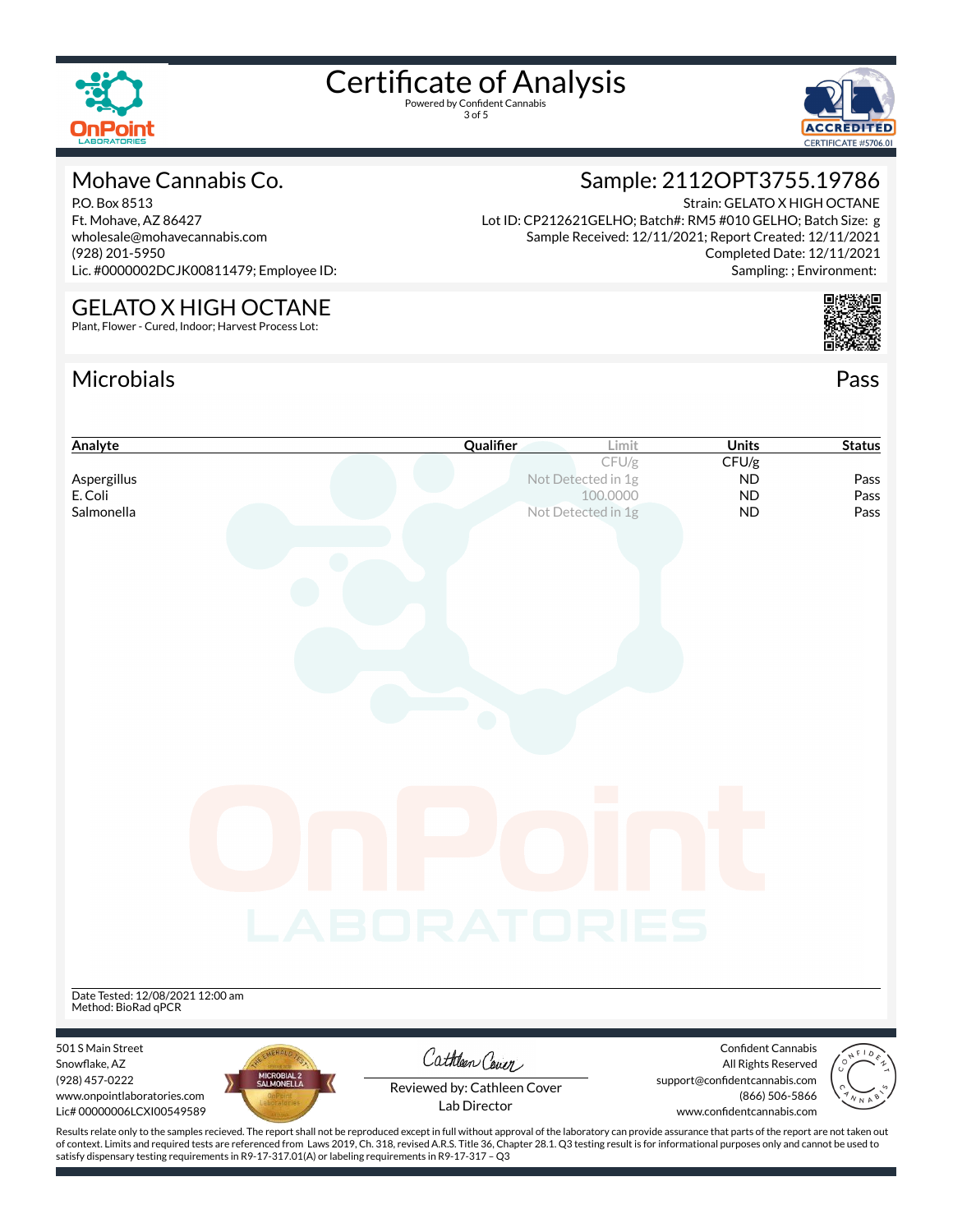

3 of 5



#### Mohave Cannabis Co.

P.O. Box 8513 Ft. Mohave, AZ 86427 wholesale@mohavecannabis.com (928) 201-5950 Lic. #0000002DCJK00811479; Employee ID:

#### GELATO X HIGH OCTANE

Plant, Flower - Cured, Indoor; Harvest Process Lot:

#### Microbials Pass



Sample: 2112OPT3755.19786

Lot ID: CP212621GELHO; Batch#: RM5 #010 GELHO; Batch Size: g Sample Received: 12/11/2021; Report Created: 12/11/2021

Strain: GELATO X HIGH OCTANE



## **Analyte Cualifier Limit Status Cualifier Limit Units Status** CFU/g CFU/g **Aspergillus Not Detected in 1g ND Pass** E. Coli 100.0000 ND Pass **Salmonella** Not Detected in 1g **ND** Pass Date Tested: 12/08/2021 12:00 am Method: BioRad qPCR 501 S Main Street Confident Cannabis Cathleen Cover Snowflake, AZ All Rights Reserved (928) 457-0222 support@confidentcannabis.com Reviewed by: Cathleen Cover www.onpointlaboratories.com (866) 506-5866 Lic# 00000006LCXI00549589 www.confidentcannabis.com

Lab Director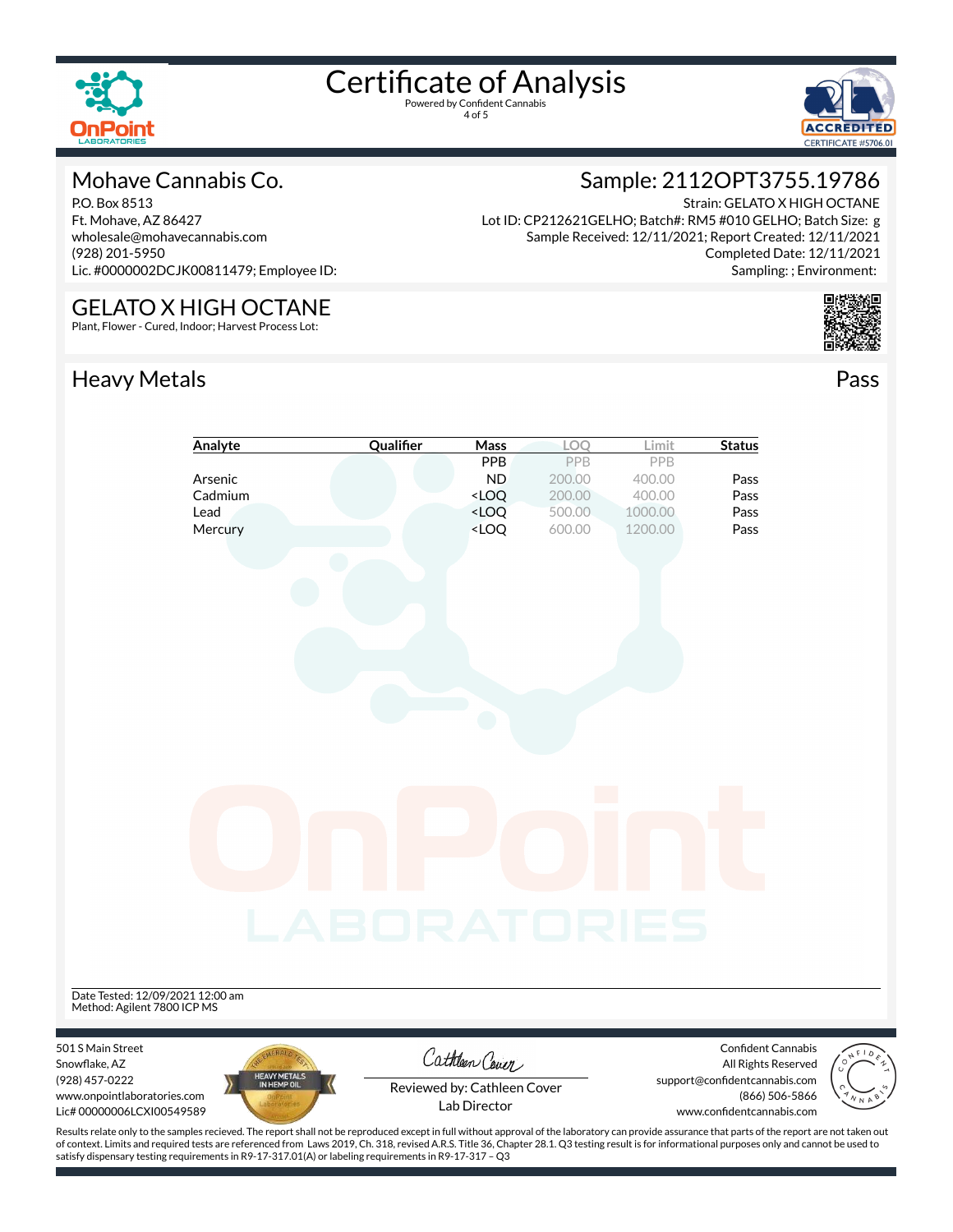

4 of 5



#### Mohave Cannabis Co.

P.O. Box 8513 Ft. Mohave, AZ 86427 wholesale@mohavecannabis.com (928) 201-5950 Lic. #0000002DCJK00811479; Employee ID:

## GELATO X HIGH OCTANE

Plant, Flower - Cured, Indoor; Harvest Process Lot:

### Heavy Metals **Pass**

### Sample: 2112OPT3755.19786

Strain: GELATO X HIGH OCTANE Lot ID: CP212621GELHO; Batch#: RM5 #010 GELHO; Batch Size: g Sample Received: 12/11/2021; Report Created: 12/11/2021 Completed Date: 12/11/2021 Sampling: ; Environment: